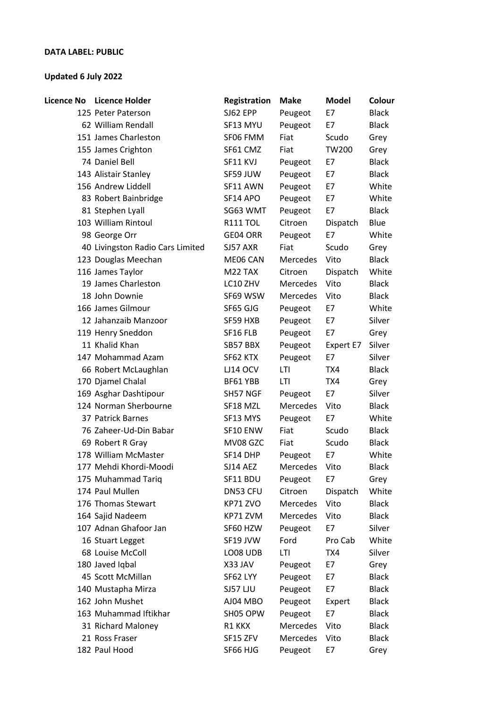## **DATA LABEL: PUBLIC**

## **Updated 6 July 2022**

| <b>Licence No</b> | <b>Licence Holder</b>            | Registration    | <b>Make</b> | <b>Model</b> | Colour       |
|-------------------|----------------------------------|-----------------|-------------|--------------|--------------|
|                   | 125 Peter Paterson               | SJ62 EPP        | Peugeot     | E7           | <b>Black</b> |
|                   | 62 William Rendall               | SF13 MYU        | Peugeot     | E7           | <b>Black</b> |
|                   | 151 James Charleston             | SF06 FMM        | Fiat        | Scudo        | Grey         |
|                   | 155 James Crighton               | SF61 CMZ        | Fiat        | TW200        | Grey         |
|                   | 74 Daniel Bell                   | SF11 KVJ        | Peugeot     | E7           | <b>Black</b> |
|                   | 143 Alistair Stanley             | SF59 JUW        | Peugeot     | E7           | <b>Black</b> |
|                   | 156 Andrew Liddell               | SF11 AWN        | Peugeot     | E7           | White        |
|                   | 83 Robert Bainbridge             | SF14 APO        | Peugeot     | E7           | White        |
|                   | 81 Stephen Lyall                 | SG63 WMT        | Peugeot     | E7           | <b>Black</b> |
|                   | 103 William Rintoul              | <b>R111 TOL</b> | Citroen     | Dispatch     | Blue         |
|                   | 98 George Orr                    | GE04 ORR        | Peugeot     | E7           | White        |
|                   | 40 Livingston Radio Cars Limited | SJ57 AXR        | Fiat        | Scudo        | Grey         |
|                   | 123 Douglas Meechan              | ME06 CAN        | Mercedes    | Vito         | <b>Black</b> |
|                   | 116 James Taylor                 | M22 TAX         | Citroen     | Dispatch     | White        |
|                   | 19 James Charleston              | LC10 ZHV        | Mercedes    | Vito         | <b>Black</b> |
|                   | 18 John Downie                   | SF69 WSW        | Mercedes    | Vito         | <b>Black</b> |
|                   | 166 James Gilmour                | SF65 GJG        | Peugeot     | E7           | White        |
|                   | 12 Jahanzaib Manzoor             | SF59 HXB        | Peugeot     | E7           | Silver       |
|                   | 119 Henry Sneddon                | SF16 FLB        | Peugeot     | E7           | Grey         |
|                   | 11 Khalid Khan                   | SB57 BBX        | Peugeot     | Expert E7    | Silver       |
|                   | 147 Mohammad Azam                | SF62 KTX        | Peugeot     | E7           | Silver       |
|                   | 66 Robert McLaughlan             | <b>LJ14 OCV</b> | LTI         | TX4          | <b>Black</b> |
|                   | 170 Djamel Chalal                | BF61 YBB        | LTI         | TX4          | Grey         |
|                   | 169 Asghar Dashtipour            | SH57 NGF        | Peugeot     | E7           | Silver       |
|                   | 124 Norman Sherbourne            | SF18 MZL        | Mercedes    | Vito         | <b>Black</b> |
|                   | 37 Patrick Barnes                | SF13 MYS        | Peugeot     | E7           | White        |
|                   | 76 Zaheer-Ud-Din Babar           | SF10 ENW        | Fiat        | Scudo        | <b>Black</b> |
|                   | 69 Robert R Gray                 | MV08 GZC        | Fiat        | Scudo        | <b>Black</b> |
|                   | 178 William McMaster             | SF14 DHP        | Peugeot     | E7           | White        |
|                   | 177 Mehdi Khordi-Moodi           | SJ14 AEZ        | Mercedes    | Vito         | <b>Black</b> |
|                   | 175 Muhammad Tariq               | SF11 BDU        | Peugeot     | E7           | Grey         |
|                   | 174 Paul Mullen                  | DN53 CFU        | Citroen     | Dispatch     | White        |
|                   | 176 Thomas Stewart               | KP71 ZVO        | Mercedes    | Vito         | <b>Black</b> |
|                   | 164 Sajid Nadeem                 | KP71 ZVM        | Mercedes    | Vito         | <b>Black</b> |
|                   | 107 Adnan Ghafoor Jan            | SF60 HZW        | Peugeot     | E7           | Silver       |
|                   | 16 Stuart Legget                 | SF19 JVW        | Ford        | Pro Cab      | White        |
|                   | 68 Louise McColl                 | LO08 UDB        | LTI         | TX4          | Silver       |
|                   | 180 Javed Iqbal                  | X33 JAV         | Peugeot     | E7           | Grey         |
|                   | 45 Scott McMillan                | SF62 LYY        | Peugeot     | E7           | <b>Black</b> |
|                   | 140 Mustapha Mirza               | <b>SJ57 LJU</b> | Peugeot     | E7           | <b>Black</b> |
|                   | 162 John Mushet                  | AJ04 MBO        | Peugeot     | Expert       | <b>Black</b> |
|                   | 163 Muhammad Iftikhar            | SH05 OPW        | Peugeot     | E7           | <b>Black</b> |
|                   | 31 Richard Maloney               | R1 KKX          | Mercedes    | Vito         | <b>Black</b> |
|                   | 21 Ross Fraser                   | SF15 ZFV        | Mercedes    | Vito         | <b>Black</b> |
|                   | 182 Paul Hood                    | SF66 HJG        | Peugeot     | E7           | Grey         |
|                   |                                  |                 |             |              |              |